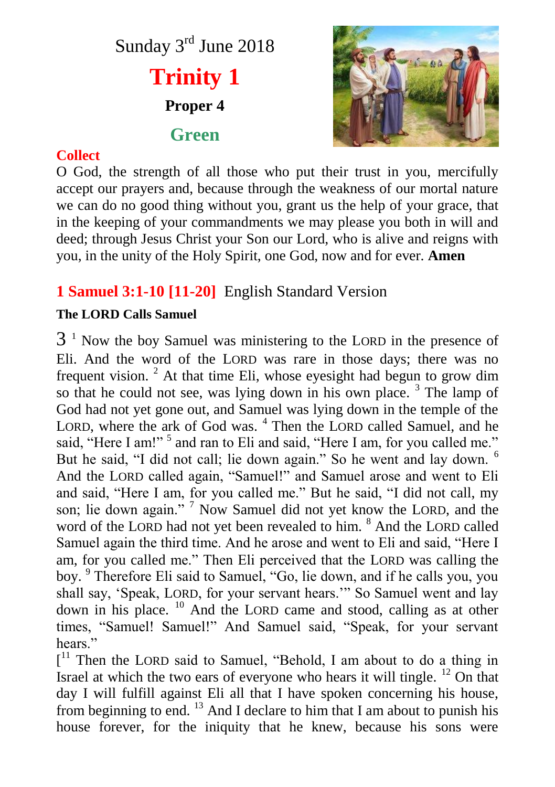



### **Collect**

O God, the strength of all those who put their trust in you, mercifully accept our prayers and, because through the weakness of our mortal nature we can do no good thing without you, grant us the help of your grace, that in the keeping of your commandments we may please you both in will and deed; through Jesus Christ your Son our Lord, who is alive and reigns with you, in the unity of the Holy Spirit, one God, now and for ever. **Amen**

# **1 Samuel 3:1-10 [11-20]** English Standard Version

#### **The LORD Calls Samuel**

 $3<sup>1</sup>$  Now the boy Samuel was ministering to the LORD in the presence of Eli. And the word of the LORD was rare in those days; there was no frequent vision.  $2$  At that time Eli, whose eyesight had begun to grow dim so that he could not see, was lying down in his own place.<sup>3</sup> The lamp of God had not yet gone out, and Samuel was lying down in the temple of the LORD, where the ark of God was. <sup>4</sup> Then the LORD called Samuel, and he said, "Here I am!"<sup>5</sup> and ran to Eli and said, "Here I am, for you called me." But he said, "I did not call; lie down again." So he went and lay down. <sup>6</sup> And the LORD called again, "Samuel!" and Samuel arose and went to Eli and said, "Here I am, for you called me." But he said, "I did not call, my son; lie down again."<sup>7</sup> Now Samuel did not yet know the LORD, and the word of the LORD had not yet been revealed to him. <sup>8</sup> And the LORD called Samuel again the third time. And he arose and went to Eli and said, "Here I am, for you called me." Then Eli perceived that the LORD was calling the boy. <sup>9</sup> Therefore Eli said to Samuel, "Go, lie down, and if he calls you, you shall say, 'Speak, LORD, for your servant hears.'" So Samuel went and lay down in his place. <sup>10</sup> And the LORD came and stood, calling as at other times, "Samuel! Samuel!" And Samuel said, "Speak, for your servant hears"

[<sup>11</sup> Then the LORD said to Samuel, "Behold, I am about to do a thing in Israel at which the two ears of everyone who hears it will tingle. <sup>12</sup> On that day I will fulfill against Eli all that I have spoken concerning his house, from beginning to end.  $^{13}$  And I declare to him that I am about to punish his house forever, for the iniquity that he knew, because his sons were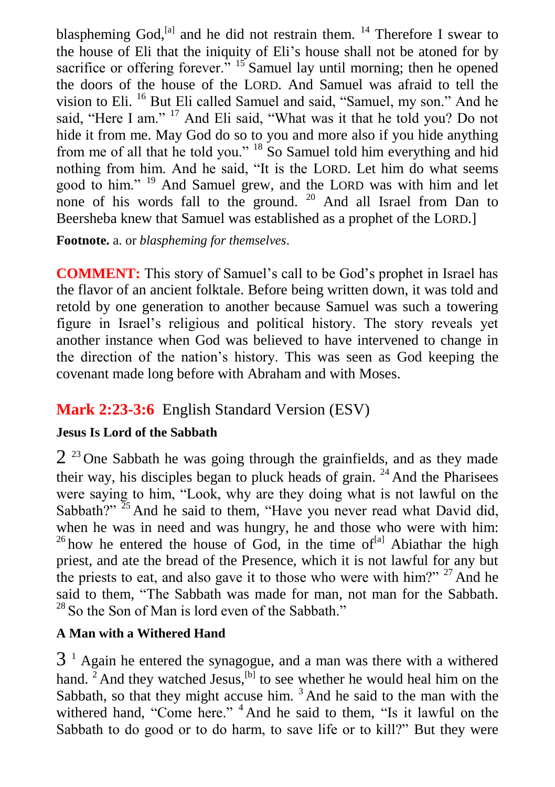blaspheming God, $^{[a]}$  and he did not restrain them. <sup>14</sup> Therefore I swear to the house of Eli that the iniquity of Eli's house shall not be atoned for by sacrifice or offering forever. $\frac{15}{15}$  Samuel lay until morning; then he opened the doors of the house of the LORD. And Samuel was afraid to tell the vision to Eli. <sup>16</sup> But Eli called Samuel and said, "Samuel, my son." And he said, "Here I am." <sup>17</sup> And Eli said, "What was it that he told you? Do not hide it from me. May God do so to you and more also if you hide anything from me of all that he told you." <sup>18</sup> So Samuel told him everything and hid nothing from him. And he said, "It is the LORD. Let him do what seems good to him." <sup>19</sup> And Samuel grew, and the LORD was with him and let none of his words fall to the ground. <sup>20</sup> And all Israel from Dan to Beersheba knew that Samuel was established as a prophet of the LORD.]

**Footnote.** a. or *blaspheming for themselves*.

**COMMENT:** This story of Samuel's call to be God's prophet in Israel has the flavor of an ancient folktale. Before being written down, it was told and retold by one generation to another because Samuel was such a towering figure in Israel's religious and political history. The story reveals yet another instance when God was believed to have intervened to change in the direction of the nation's history. This was seen as God keeping the covenant made long before with Abraham and with Moses.

## **Mark 2:23-3:6** English Standard Version (ESV)

### **Jesus Is Lord of the Sabbath**

 $2^{23}$  One Sabbath he was going through the grainfields, and as they made their way, his disciples began to pluck heads of grain. <sup>24</sup> And the Pharisees were saying to him, "Look, why are they doing what is not lawful on the Sabbath?"  $25$  And he said to them, "Have you never read what David did, when he was in need and was hungry, he and those who were with him: <sup>26</sup> how he entered the house of God, in the time of<sup>[a]</sup> Abiathar the high priest, and ate the bread of the Presence, which it is not lawful for any but the priests to eat, and also gave it to those who were with him?"  $27$  And he said to them, "The Sabbath was made for man, not man for the Sabbath.  $28$  So the Son of Man is lord even of the Sabbath."

### **A Man with a Withered Hand**

 $3<sup>1</sup>$  Again he entered the synagogue, and a man was there with a withered hand.  $2^{\frac{1}{2}}$  And they watched Jesus, <sup>[b]</sup> to see whether he would heal him on the Sabbath, so that they might accuse him.  $3$  And he said to the man with the withered hand, "Come here." <sup>4</sup> And he said to them, "Is it lawful on the Sabbath to do good or to do harm, to save life or to kill?" But they were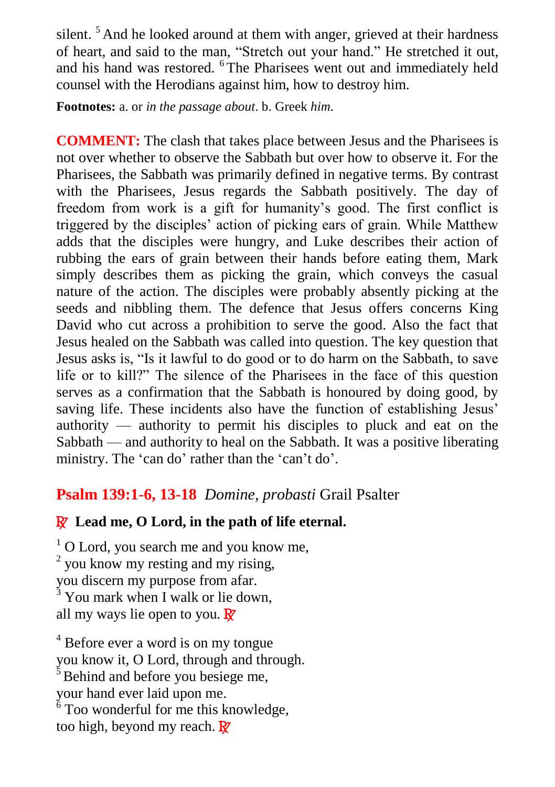silent.<sup>5</sup> And he looked around at them with anger, grieved at their hardness of heart, and said to the man, "Stretch out your hand." He stretched it out, and his hand was restored. <sup>6</sup>The Pharisees went out and immediately held counsel with the Herodians against him, how to destroy him.

**Footnotes:** a. or *in the passage about*. b. Greek *him*.

**COMMENT:** The clash that takes place between Jesus and the Pharisees is not over whether to observe the Sabbath but over how to observe it. For the Pharisees, the Sabbath was primarily defined in negative terms. By contrast with the Pharisees, Jesus regards the Sabbath positively. The day of freedom from work is a gift for humanity's good. The first conflict is triggered by the disciples' action of picking ears of grain. While Matthew adds that the disciples were hungry, and Luke describes their action of rubbing the ears of grain between their hands before eating them, Mark simply describes them as picking the grain, which conveys the casual nature of the action. The disciples were probably absently picking at the seeds and nibbling them. The defence that Jesus offers concerns King David who cut across a prohibition to serve the good. Also the fact that Jesus healed on the Sabbath was called into question. The key question that Jesus asks is, "Is it lawful to do good or to do harm on the Sabbath, to save life or to kill?" The silence of the Pharisees in the face of this question serves as a confirmation that the Sabbath is honoured by doing good, by saving life. These incidents also have the function of establishing Jesus' authority — authority to permit his disciples to pluck and eat on the Sabbath — and authority to heal on the Sabbath. It was a positive liberating ministry. The 'can do' rather than the 'can't do'.

## **Psalm 139:1-6, 13-18** *Domine, probasti* Grail Psalter

## R **Lead me, O Lord, in the path of life eternal.**

 $1$  O Lord, you search me and you know me, <sup>2</sup> you know my resting and my rising, you discern my purpose from afar.  $\frac{3}{3}$  You mark when I walk or lie down, all my ways lie open to you.  $\mathbb{R}^7$ 

<sup>4</sup> Before ever a word is on my tongue you know it, O Lord, through and through.  $5$  Behind and before you besiege me, your hand ever laid upon me.  $6$  Too wonderful for me this knowledge, too high, beyond my reach.  $\mathbf{\mathbb{R}}$